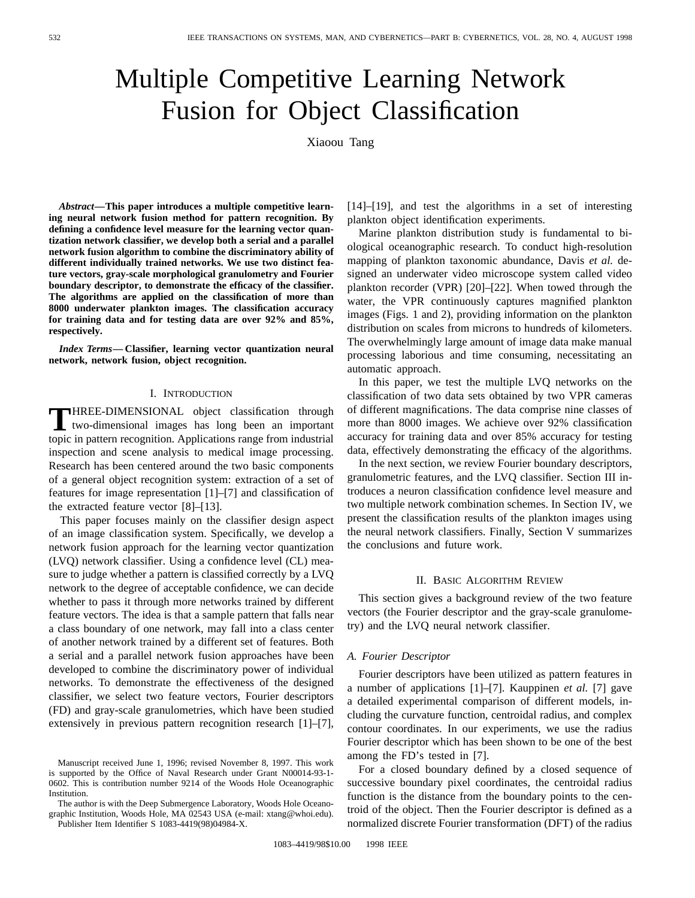# Multiple Competitive Learning Network Fusion for Object Classification

Xiaoou Tang

*Abstract—***This paper introduces a multiple competitive learning neural network fusion method for pattern recognition. By defining a confidence level measure for the learning vector quantization network classifier, we develop both a serial and a parallel network fusion algorithm to combine the discriminatory ability of different individually trained networks. We use two distinct feature vectors, gray-scale morphological granulometry and Fourier boundary descriptor, to demonstrate the efficacy of the classifier. The algorithms are applied on the classification of more than 8000 underwater plankton images. The classification accuracy for training data and for testing data are over 92% and 85%, respectively.**

*Index Terms—* **Classifier, learning vector quantization neural network, network fusion, object recognition.**

## I. INTRODUCTION

**T**HREE-DIMENSIONAL object classification through two-dimensional images has long been an important topic in pattern recognition. Applications range from industrial inspection and scene analysis to medical image processing. Research has been centered around the two basic components of a general object recognition system: extraction of a set of features for image representation [1]–[7] and classification of the extracted feature vector [8]–[13].

This paper focuses mainly on the classifier design aspect of an image classification system. Specifically, we develop a network fusion approach for the learning vector quantization (LVQ) network classifier. Using a confidence level (CL) measure to judge whether a pattern is classified correctly by a LVQ network to the degree of acceptable confidence, we can decide whether to pass it through more networks trained by different feature vectors. The idea is that a sample pattern that falls near a class boundary of one network, may fall into a class center of another network trained by a different set of features. Both a serial and a parallel network fusion approaches have been developed to combine the discriminatory power of individual networks. To demonstrate the effectiveness of the designed classifier, we select two feature vectors, Fourier descriptors (FD) and gray-scale granulometries, which have been studied extensively in previous pattern recognition research [1]–[7],

[14]–[19], and test the algorithms in a set of interesting plankton object identification experiments.

Marine plankton distribution study is fundamental to biological oceanographic research. To conduct high-resolution mapping of plankton taxonomic abundance, Davis *et al.* designed an underwater video microscope system called video plankton recorder (VPR) [20]–[22]. When towed through the water, the VPR continuously captures magnified plankton images (Figs. 1 and 2), providing information on the plankton distribution on scales from microns to hundreds of kilometers. The overwhelmingly large amount of image data make manual processing laborious and time consuming, necessitating an automatic approach.

In this paper, we test the multiple LVQ networks on the classification of two data sets obtained by two VPR cameras of different magnifications. The data comprise nine classes of more than 8000 images. We achieve over 92% classification accuracy for training data and over 85% accuracy for testing data, effectively demonstrating the efficacy of the algorithms.

In the next section, we review Fourier boundary descriptors, granulometric features, and the LVQ classifier. Section III introduces a neuron classification confidence level measure and two multiple network combination schemes. In Section IV, we present the classification results of the plankton images using the neural network classifiers. Finally, Section V summarizes the conclusions and future work.

# II. BASIC ALGORITHM REVIEW

This section gives a background review of the two feature vectors (the Fourier descriptor and the gray-scale granulometry) and the LVQ neural network classifier.

## *A. Fourier Descriptor*

Fourier descriptors have been utilized as pattern features in a number of applications [1]–[7]. Kauppinen *et al.* [7] gave a detailed experimental comparison of different models, including the curvature function, centroidal radius, and complex contour coordinates. In our experiments, we use the radius Fourier descriptor which has been shown to be one of the best among the FD's tested in [7].

For a closed boundary defined by a closed sequence of successive boundary pixel coordinates, the centroidal radius function is the distance from the boundary points to the centroid of the object. Then the Fourier descriptor is defined as a normalized discrete Fourier transformation (DFT) of the radius

Manuscript received June 1, 1996; revised November 8, 1997. This work is supported by the Office of Naval Research under Grant N00014-93-1- 0602. This is contribution number 9214 of the Woods Hole Oceanographic Institution.

The author is with the Deep Submergence Laboratory, Woods Hole Oceanographic Institution, Woods Hole, MA 02543 USA (e-mail: xtang@whoi.edu). Publisher Item Identifier S 1083-4419(98)04984-X.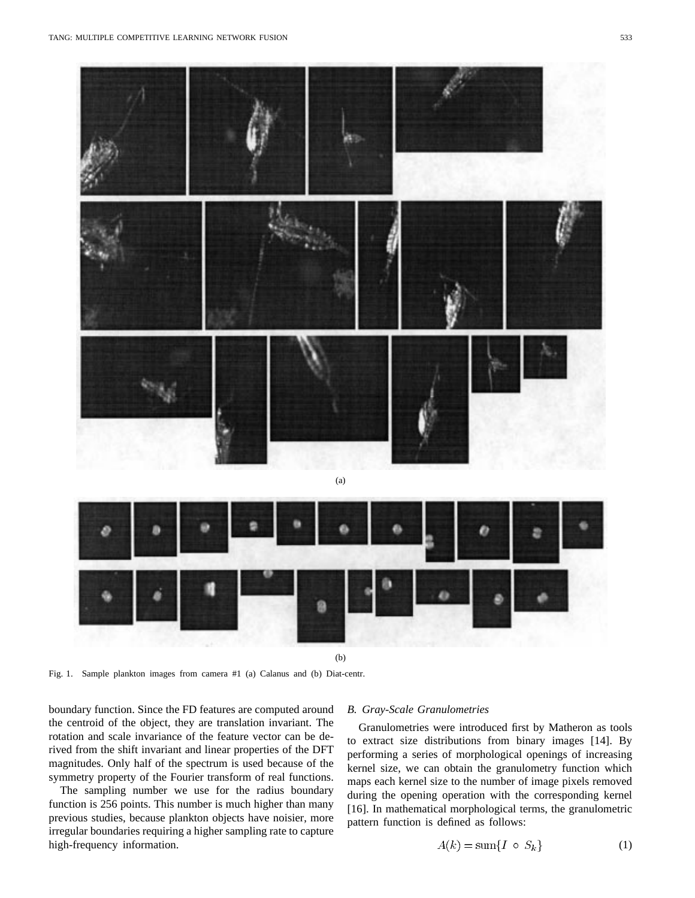



Fig. 1. Sample plankton images from camera #1 (a) Calanus and (b) Diat-centr.

boundary function. Since the FD features are computed around the centroid of the object, they are translation invariant. The rotation and scale invariance of the feature vector can be derived from the shift invariant and linear properties of the DFT magnitudes. Only half of the spectrum is used because of the symmetry property of the Fourier transform of real functions.

The sampling number we use for the radius boundary function is 256 points. This number is much higher than many previous studies, because plankton objects have noisier, more irregular boundaries requiring a higher sampling rate to capture high-frequency information.

# *B. Gray-Scale Granulometries*

Granulometries were introduced first by Matheron as tools to extract size distributions from binary images [14]. By performing a series of morphological openings of increasing kernel size, we can obtain the granulometry function which maps each kernel size to the number of image pixels removed during the opening operation with the corresponding kernel [16]. In mathematical morphological terms, the granulometric pattern function is defined as follows:

$$
A(k) = \text{sum}\{I \circ S_k\} \tag{1}
$$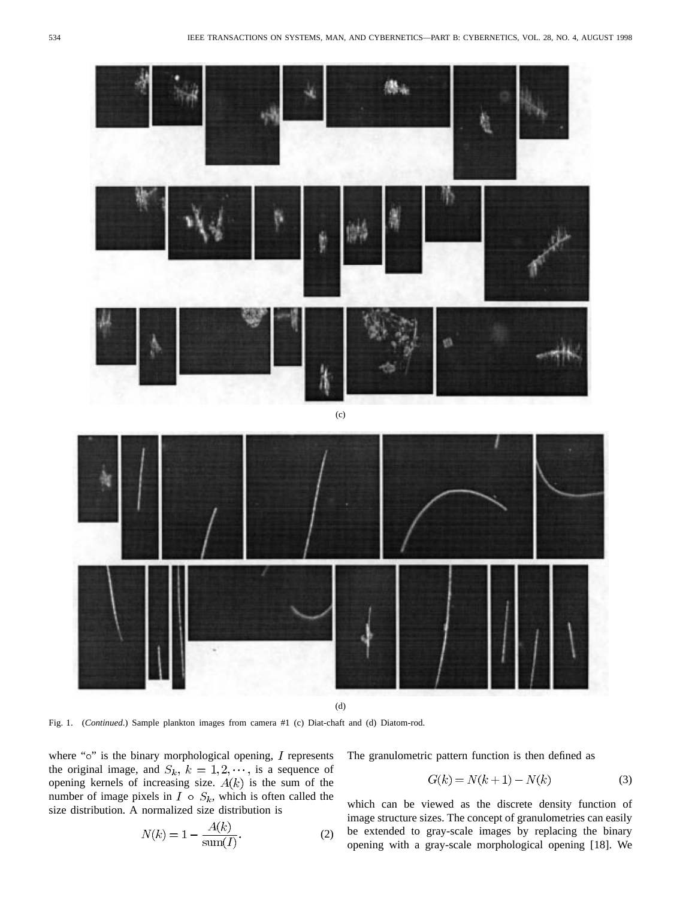



Fig. 1. (*Continued*.) Sample plankton images from camera #1 (c) Diat-chaft and (d) Diatom-rod.

where " $o$ " is the binary morphological opening,  $I$  represents the original image, and  $S_k$ ,  $k = 1, 2, \dots$ , is a sequence of opening kernels of increasing size.  $A(k)$  is the sum of the number of image pixels in  $I \circ S_k$ , which is often called the size distribution. A normalized size distribution is

$$
N(k) = 1 - \frac{A(k)}{\text{sum}(I)}.\tag{2}
$$

The granulometric pattern function is then defined as

$$
G(k) = N(k+1) - N(k)
$$
\n(3)

which can be viewed as the discrete density function of image structure sizes. The concept of granulometries can easily be extended to gray-scale images by replacing the binary opening with a gray-scale morphological opening [18]. We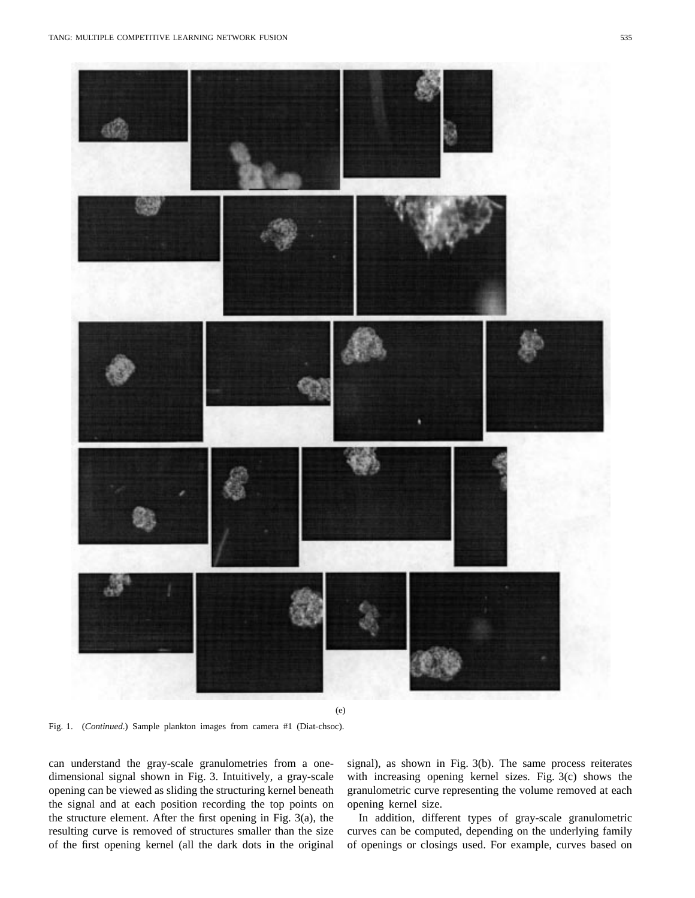

(e)

Fig. 1. (*Continued*.) Sample plankton images from camera #1 (Diat-chsoc).

can understand the gray-scale granulometries from a onedimensional signal shown in Fig. 3. Intuitively, a gray-scale opening can be viewed as sliding the structuring kernel beneath the signal and at each position recording the top points on the structure element. After the first opening in Fig. 3(a), the resulting curve is removed of structures smaller than the size of the first opening kernel (all the dark dots in the original

signal), as shown in Fig. 3(b). The same process reiterates with increasing opening kernel sizes. Fig. 3(c) shows the granulometric curve representing the volume removed at each opening kernel size.

In addition, different types of gray-scale granulometric curves can be computed, depending on the underlying family of openings or closings used. For example, curves based on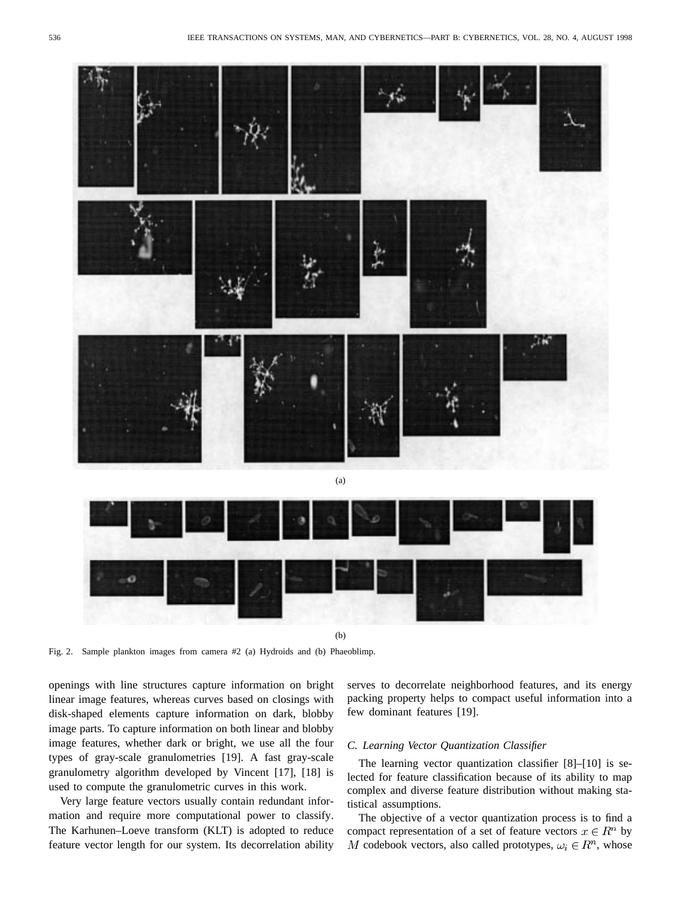

(b)

Fig. 2. Sample plankton images from camera #2 (a) Hydroids and (b) Phaeoblimp.

openings with line structures capture information on bright linear image features, whereas curves based on closings with disk-shaped elements capture information on dark, blobby image parts. To capture information on both linear and blobby image features, whether dark or bright, we use all the four types of gray-scale granulometries [19]. A fast gray-scale granulometry algorithm developed by Vincent [17], [18] is used to compute the granulometric curves in this work.

Very large feature vectors usually contain redundant information and require more computational power to classify. The Karhunen–Loeve transform (KLT) is adopted to reduce feature vector length for our system. Its decorrelation ability

serves to decorrelate neighborhood features, and its energy packing property helps to compact useful information into a few dominant features [19].

# *C. Learning Vector Quantization Classifier*

The learning vector quantization classifier [8]–[10] is selected for feature classification because of its ability to map complex and diverse feature distribution without making statistical assumptions.

The objective of a vector quantization process is to find a compact representation of a set of feature vectors  $x \in \mathbb{R}^n$  by M codebook vectors, also called prototypes,  $\omega_i \in R^n$ , whose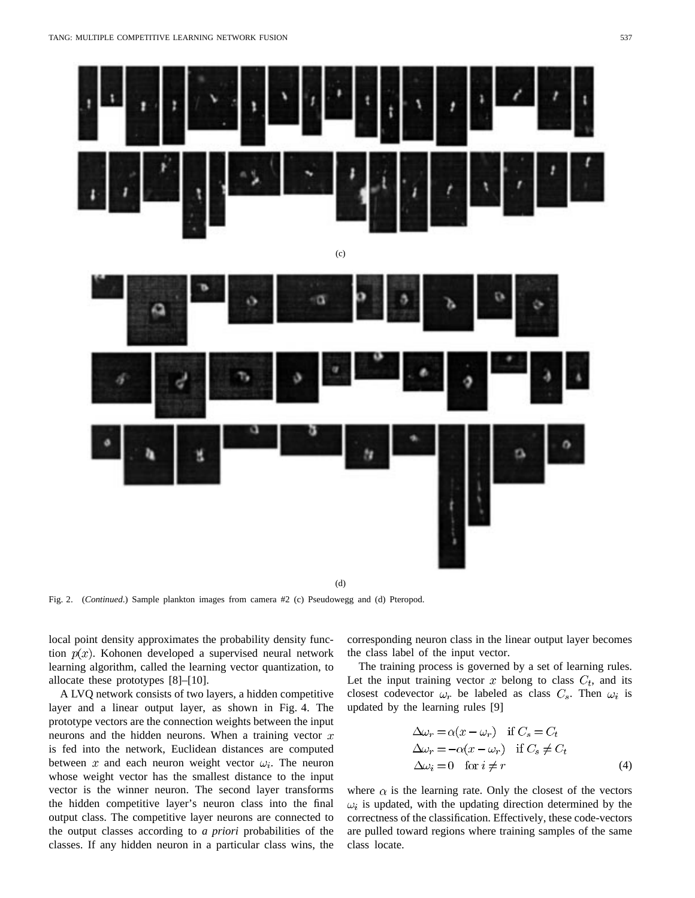

(c)



(d)

Fig. 2. (*Continued.*) Sample plankton images from camera #2 (c) Pseudowegg and (d) Pteropod.

local point density approximates the probability density function  $p(x)$ . Kohonen developed a supervised neural network learning algorithm, called the learning vector quantization, to allocate these prototypes [8]–[10].

A LVQ network consists of two layers, a hidden competitive layer and a linear output layer, as shown in Fig. 4. The prototype vectors are the connection weights between the input neurons and the hidden neurons. When a training vector  $x$ is fed into the network, Euclidean distances are computed between x and each neuron weight vector  $\omega_i$ . The neuron whose weight vector has the smallest distance to the input vector is the winner neuron. The second layer transforms the hidden competitive layer's neuron class into the final output class. The competitive layer neurons are connected to the output classes according to *a priori* probabilities of the classes. If any hidden neuron in a particular class wins, the

corresponding neuron class in the linear output layer becomes the class label of the input vector.

The training process is governed by a set of learning rules. Let the input training vector  $x$  belong to class  $C_t$ , and its closest codevector  $\omega_r$  be labeled as class  $C_s$ . Then  $\omega_i$  is updated by the learning rules [9]

$$
\Delta \omega_r = \alpha (x - \omega_r) \quad \text{if } C_s = C_t
$$
  
\n
$$
\Delta \omega_r = -\alpha (x - \omega_r) \quad \text{if } C_s \neq C_t
$$
  
\n
$$
\Delta \omega_i = 0 \quad \text{for } i \neq r
$$
 (4)

where  $\alpha$  is the learning rate. Only the closest of the vectors  $\omega_i$  is updated, with the updating direction determined by the correctness of the classification. Effectively, these code-vectors are pulled toward regions where training samples of the same class locate.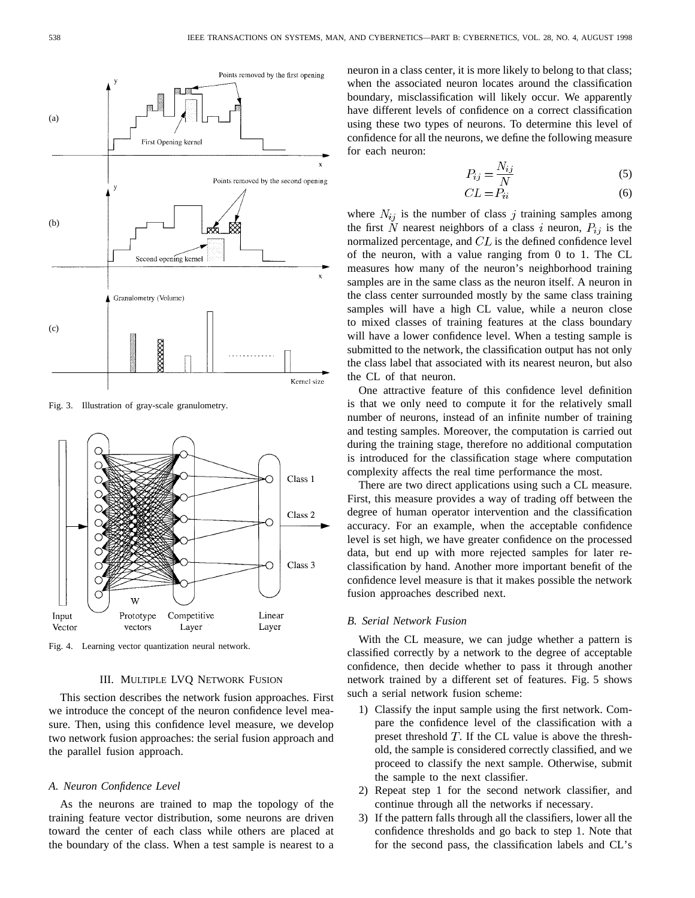

Fig. 3. Illustration of gray-scale granulometry.



Fig. 4. Learning vector quantization neural network.

# III. MULTIPLE LVQ NETWORK FUSION

This section describes the network fusion approaches. First we introduce the concept of the neuron confidence level measure. Then, using this confidence level measure, we develop two network fusion approaches: the serial fusion approach and the parallel fusion approach.

# *A. Neuron Confidence Level*

As the neurons are trained to map the topology of the training feature vector distribution, some neurons are driven toward the center of each class while others are placed at the boundary of the class. When a test sample is nearest to a

neuron in a class center, it is more likely to belong to that class; when the associated neuron locates around the classification boundary, misclassification will likely occur. We apparently have different levels of confidence on a correct classification using these two types of neurons. To determine this level of confidence for all the neurons, we define the following measure for each neuron:

$$
P_{ij} = \frac{N_{ij}}{N} \tag{5}
$$

$$
CL = \dot{P}_{ii} \tag{6}
$$

where  $N_{ij}$  is the number of class j training samples among the first N nearest neighbors of a class i neuron,  $P_{ij}$  is the normalized percentage, and  $CL$  is the defined confidence level of the neuron, with a value ranging from 0 to 1. The CL measures how many of the neuron's neighborhood training samples are in the same class as the neuron itself. A neuron in the class center surrounded mostly by the same class training samples will have a high CL value, while a neuron close to mixed classes of training features at the class boundary will have a lower confidence level. When a testing sample is submitted to the network, the classification output has not only the class label that associated with its nearest neuron, but also the CL of that neuron.

One attractive feature of this confidence level definition is that we only need to compute it for the relatively small number of neurons, instead of an infinite number of training and testing samples. Moreover, the computation is carried out during the training stage, therefore no additional computation is introduced for the classification stage where computation complexity affects the real time performance the most.

There are two direct applications using such a CL measure. First, this measure provides a way of trading off between the degree of human operator intervention and the classification accuracy. For an example, when the acceptable confidence level is set high, we have greater confidence on the processed data, but end up with more rejected samples for later reclassification by hand. Another more important benefit of the confidence level measure is that it makes possible the network fusion approaches described next.

## *B. Serial Network Fusion*

With the CL measure, we can judge whether a pattern is classified correctly by a network to the degree of acceptable confidence, then decide whether to pass it through another network trained by a different set of features. Fig. 5 shows such a serial network fusion scheme:

- 1) Classify the input sample using the first network. Compare the confidence level of the classification with a preset threshold  $T$ . If the CL value is above the threshold, the sample is considered correctly classified, and we proceed to classify the next sample. Otherwise, submit the sample to the next classifier.
- 2) Repeat step 1 for the second network classifier, and continue through all the networks if necessary.
- 3) If the pattern falls through all the classifiers, lower all the confidence thresholds and go back to step 1. Note that for the second pass, the classification labels and CL's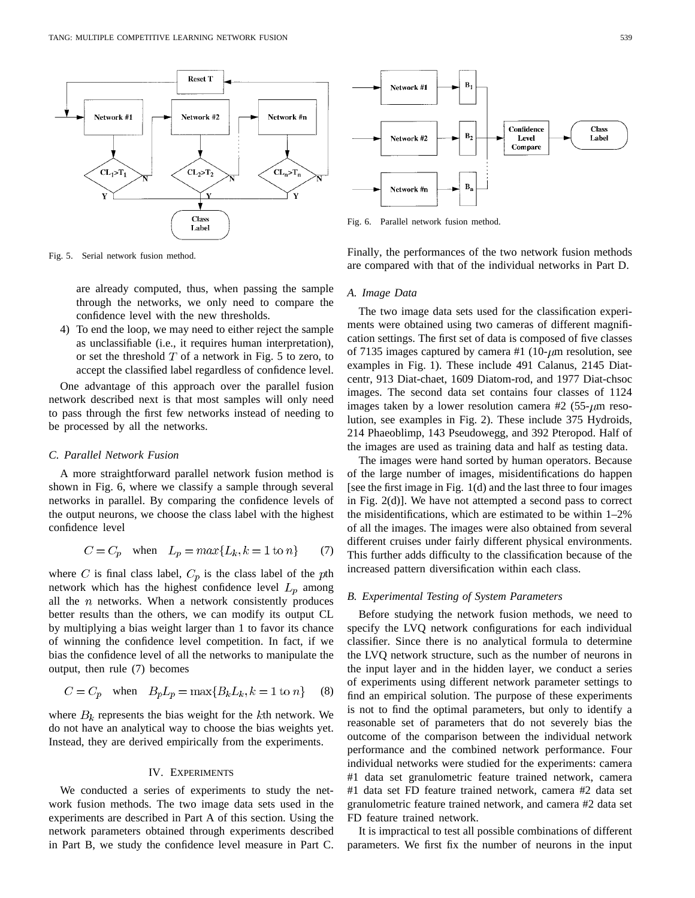



Fig. 6. Parallel network fusion method.

Fig. 5. Serial network fusion method.

are already computed, thus, when passing the sample through the networks, we only need to compare the confidence level with the new thresholds.

4) To end the loop, we may need to either reject the sample as unclassifiable (i.e., it requires human interpretation), or set the threshold  $T$  of a network in Fig. 5 to zero, to accept the classified label regardless of confidence level.

One advantage of this approach over the parallel fusion network described next is that most samples will only need to pass through the first few networks instead of needing to be processed by all the networks.

# *C. Parallel Network Fusion*

A more straightforward parallel network fusion method is shown in Fig. 6, where we classify a sample through several networks in parallel. By comparing the confidence levels of the output neurons, we choose the class label with the highest confidence level

$$
C = C_p \quad \text{when} \quad L_p = max\{L_k, k = 1 \text{ to } n\} \tag{7}
$$

where C is final class label,  $C_p$  is the class label of the pth network which has the highest confidence level  $L_p$  among all the  $n$  networks. When a network consistently produces better results than the others, we can modify its output CL by multiplying a bias weight larger than 1 to favor its chance of winning the confidence level competition. In fact, if we bias the confidence level of all the networks to manipulate the output, then rule (7) becomes

$$
C = C_p \quad \text{when} \quad B_p L_p = \max\{B_k L_k, k = 1 \text{ to } n\} \tag{8}
$$

where  $B_k$  represents the bias weight for the kth network. We do not have an analytical way to choose the bias weights yet. Instead, they are derived empirically from the experiments.

#### IV. EXPERIMENTS

We conducted a series of experiments to study the network fusion methods. The two image data sets used in the experiments are described in Part A of this section. Using the network parameters obtained through experiments described in Part B, we study the confidence level measure in Part C. Finally, the performances of the two network fusion methods are compared with that of the individual networks in Part D.

# *A. Image Data*

The two image data sets used for the classification experiments were obtained using two cameras of different magnification settings. The first set of data is composed of five classes of 7135 images captured by camera #1 (10- $\mu$ m resolution, see examples in Fig. 1). These include 491 Calanus, 2145 Diatcentr, 913 Diat-chaet, 1609 Diatom-rod, and 1977 Diat-chsoc images. The second data set contains four classes of 1124 images taken by a lower resolution camera #2 (55- $\mu$ m resolution, see examples in Fig. 2). These include 375 Hydroids, 214 Phaeoblimp, 143 Pseudowegg, and 392 Pteropod. Half of the images are used as training data and half as testing data.

The images were hand sorted by human operators. Because of the large number of images, misidentifications do happen [see the first image in Fig. 1(d) and the last three to four images in Fig. 2(d)]. We have not attempted a second pass to correct the misidentifications, which are estimated to be within 1–2% of all the images. The images were also obtained from several different cruises under fairly different physical environments. This further adds difficulty to the classification because of the increased pattern diversification within each class.

# *B. Experimental Testing of System Parameters*

Before studying the network fusion methods, we need to specify the LVQ network configurations for each individual classifier. Since there is no analytical formula to determine the LVQ network structure, such as the number of neurons in the input layer and in the hidden layer, we conduct a series of experiments using different network parameter settings to find an empirical solution. The purpose of these experiments is not to find the optimal parameters, but only to identify a reasonable set of parameters that do not severely bias the outcome of the comparison between the individual network performance and the combined network performance. Four individual networks were studied for the experiments: camera #1 data set granulometric feature trained network, camera #1 data set FD feature trained network, camera #2 data set granulometric feature trained network, and camera #2 data set FD feature trained network.

It is impractical to test all possible combinations of different parameters. We first fix the number of neurons in the input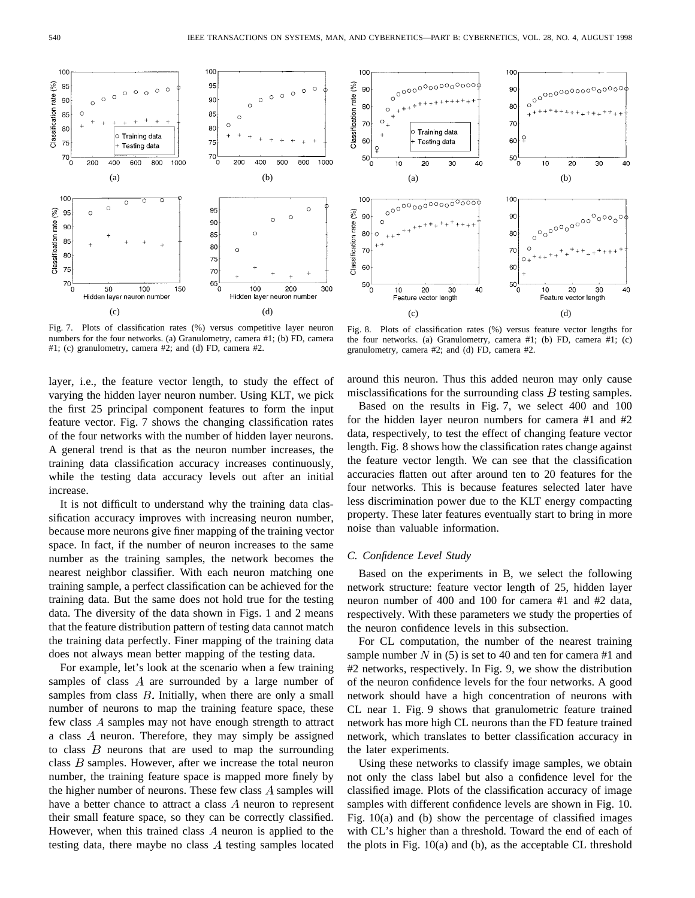



Fig. 7. Plots of classification rates (%) versus competitive layer neuron numbers for the four networks. (a) Granulometry, camera #1; (b) FD, camera #1; (c) granulometry, camera #2; and (d) FD, camera #2.

layer, i.e., the feature vector length, to study the effect of varying the hidden layer neuron number. Using KLT, we pick the first 25 principal component features to form the input feature vector. Fig. 7 shows the changing classification rates of the four networks with the number of hidden layer neurons. A general trend is that as the neuron number increases, the training data classification accuracy increases continuously, while the testing data accuracy levels out after an initial increase.

It is not difficult to understand why the training data classification accuracy improves with increasing neuron number, because more neurons give finer mapping of the training vector space. In fact, if the number of neuron increases to the same number as the training samples, the network becomes the nearest neighbor classifier. With each neuron matching one training sample, a perfect classification can be achieved for the training data. But the same does not hold true for the testing data. The diversity of the data shown in Figs. 1 and 2 means that the feature distribution pattern of testing data cannot match the training data perfectly. Finer mapping of the training data does not always mean better mapping of the testing data.

For example, let's look at the scenario when a few training samples of class  $A$  are surrounded by a large number of samples from class  $B$ . Initially, when there are only a small number of neurons to map the training feature space, these few class  $A$  samples may not have enough strength to attract a class  $A$  neuron. Therefore, they may simply be assigned to class  $B$  neurons that are used to map the surrounding class  $B$  samples. However, after we increase the total neuron number, the training feature space is mapped more finely by the higher number of neurons. These few class  $A$  samples will have a better chance to attract a class  $A$  neuron to represent their small feature space, so they can be correctly classified. However, when this trained class  $A$  neuron is applied to the testing data, there maybe no class  $A$  testing samples located

Fig. 8. Plots of classification rates (%) versus feature vector lengths for the four networks. (a) Granulometry, camera #1; (b) FD, camera #1; (c) granulometry, camera #2; and (d) FD, camera #2.

around this neuron. Thus this added neuron may only cause misclassifications for the surrounding class  $B$  testing samples.

Based on the results in Fig. 7, we select 400 and 100 for the hidden layer neuron numbers for camera #1 and #2 data, respectively, to test the effect of changing feature vector length. Fig. 8 shows how the classification rates change against the feature vector length. We can see that the classification accuracies flatten out after around ten to 20 features for the four networks. This is because features selected later have less discrimination power due to the KLT energy compacting property. These later features eventually start to bring in more noise than valuable information.

#### *C. Confidence Level Study*

Based on the experiments in B, we select the following network structure: feature vector length of 25, hidden layer neuron number of 400 and 100 for camera #1 and #2 data, respectively. With these parameters we study the properties of the neuron confidence levels in this subsection.

For CL computation, the number of the nearest training sample number N in (5) is set to 40 and ten for camera #1 and #2 networks, respectively. In Fig. 9, we show the distribution of the neuron confidence levels for the four networks. A good network should have a high concentration of neurons with CL near 1. Fig. 9 shows that granulometric feature trained network has more high CL neurons than the FD feature trained network, which translates to better classification accuracy in the later experiments.

Using these networks to classify image samples, we obtain not only the class label but also a confidence level for the classified image. Plots of the classification accuracy of image samples with different confidence levels are shown in Fig. 10. Fig. 10(a) and (b) show the percentage of classified images with CL's higher than a threshold. Toward the end of each of the plots in Fig. 10(a) and (b), as the acceptable CL threshold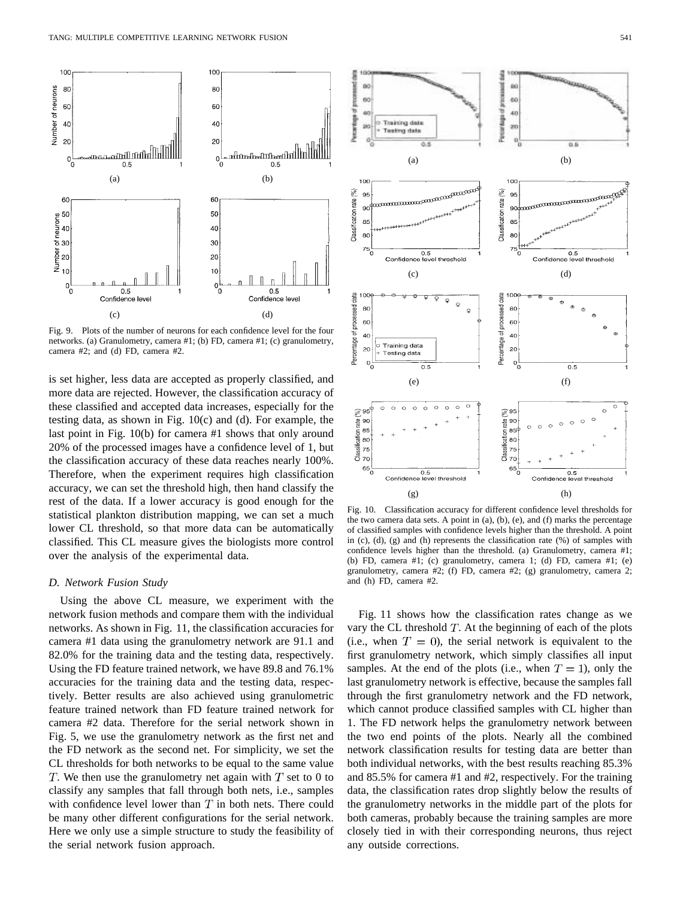

Fig. 9. Plots of the number of neurons for each confidence level for the four networks. (a) Granulometry, camera #1; (b) FD, camera #1; (c) granulometry, camera #2; and (d) FD, camera #2.

is set higher, less data are accepted as properly classified, and more data are rejected. However, the classification accuracy of these classified and accepted data increases, especially for the testing data, as shown in Fig. 10(c) and (d). For example, the last point in Fig. 10(b) for camera #1 shows that only around 20% of the processed images have a confidence level of 1, but the classification accuracy of these data reaches nearly 100%. Therefore, when the experiment requires high classification accuracy, we can set the threshold high, then hand classify the rest of the data. If a lower accuracy is good enough for the statistical plankton distribution mapping, we can set a much lower CL threshold, so that more data can be automatically classified. This CL measure gives the biologists more control over the analysis of the experimental data.

#### *D. Network Fusion Study*

Using the above CL measure, we experiment with the network fusion methods and compare them with the individual networks. As shown in Fig. 11, the classification accuracies for camera #1 data using the granulometry network are 91.1 and 82.0% for the training data and the testing data, respectively. Using the FD feature trained network, we have 89.8 and 76.1% accuracies for the training data and the testing data, respectively. Better results are also achieved using granulometric feature trained network than FD feature trained network for camera #2 data. Therefore for the serial network shown in Fig. 5, we use the granulometry network as the first net and the FD network as the second net. For simplicity, we set the CL thresholds for both networks to be equal to the same value T. We then use the granulometry net again with  $T$  set to 0 to classify any samples that fall through both nets, i.e., samples with confidence level lower than  $T$  in both nets. There could be many other different configurations for the serial network. Here we only use a simple structure to study the feasibility of the serial network fusion approach.



Fig. 10. Classification accuracy for different confidence level thresholds for the two camera data sets. A point in (a), (b), (e), and (f) marks the percentage of classified samples with confidence levels higher than the threshold. A point in (c), (d), (g) and (h) represents the classification rate (%) of samples with confidence levels higher than the threshold. (a) Granulometry, camera #1; (b) FD, camera #1; (c) granulometry, camera 1; (d) FD, camera #1; (e) granulometry, camera #2; (f) FD, camera #2; (g) granulometry, camera 2; and (h) FD, camera #2.

Fig. 11 shows how the classification rates change as we vary the CL threshold  $T$ . At the beginning of each of the plots (i.e., when  $T = 0$ ), the serial network is equivalent to the first granulometry network, which simply classifies all input samples. At the end of the plots (i.e., when  $T = 1$ ), only the last granulometry network is effective, because the samples fall through the first granulometry network and the FD network, which cannot produce classified samples with CL higher than 1. The FD network helps the granulometry network between the two end points of the plots. Nearly all the combined network classification results for testing data are better than both individual networks, with the best results reaching 85.3% and 85.5% for camera #1 and #2, respectively. For the training data, the classification rates drop slightly below the results of the granulometry networks in the middle part of the plots for both cameras, probably because the training samples are more closely tied in with their corresponding neurons, thus reject any outside corrections.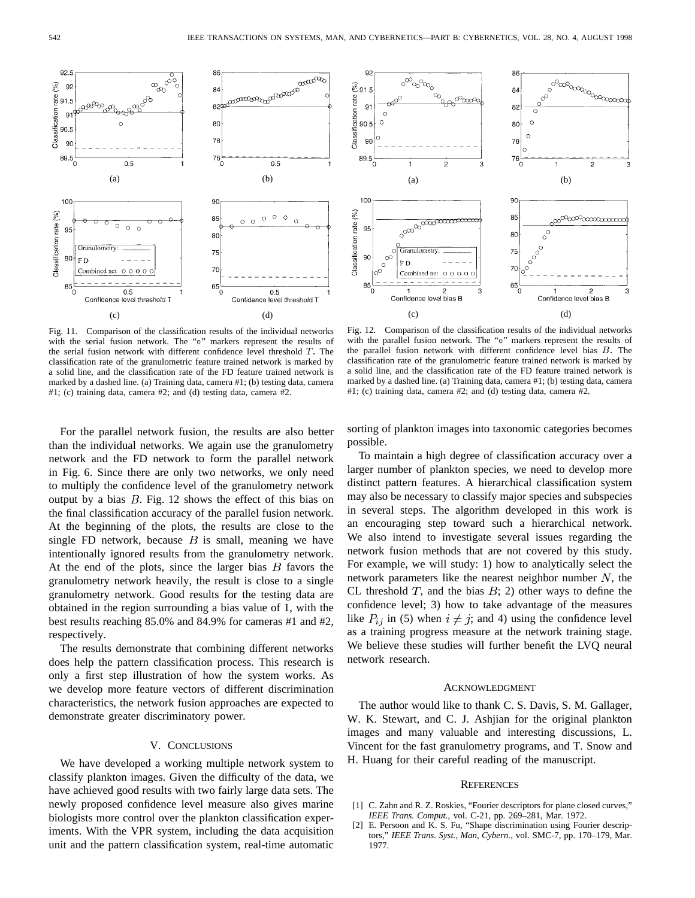

Fig. 11. Comparison of the classification results of the individual networks with the serial fusion network. The "o" markers represent the results of the serial fusion network with different confidence level threshold  $T$ . The classification rate of the granulometric feature trained network is marked by a solid line, and the classification rate of the FD feature trained network is marked by a dashed line. (a) Training data, camera #1; (b) testing data, camera #1; (c) training data, camera #2; and (d) testing data, camera #2.



Fig. 12. Comparison of the classification results of the individual networks with the parallel fusion network. The "o" markers represent the results of the parallel fusion network with different confidence level bias  $B$ . The classification rate of the granulometric feature trained network is marked by a solid line, and the classification rate of the FD feature trained network is marked by a dashed line. (a) Training data, camera #1; (b) testing data, camera #1; (c) training data, camera #2; and (d) testing data, camera #2.

For the parallel network fusion, the results are also better than the individual networks. We again use the granulometry network and the FD network to form the parallel network in Fig. 6. Since there are only two networks, we only need to multiply the confidence level of the granulometry network output by a bias  $B$ . Fig. 12 shows the effect of this bias on the final classification accuracy of the parallel fusion network. At the beginning of the plots, the results are close to the single FD network, because  $B$  is small, meaning we have intentionally ignored results from the granulometry network. At the end of the plots, since the larger bias  $B$  favors the granulometry network heavily, the result is close to a single granulometry network. Good results for the testing data are obtained in the region surrounding a bias value of 1, with the best results reaching 85.0% and 84.9% for cameras #1 and #2, respectively.

The results demonstrate that combining different networks does help the pattern classification process. This research is only a first step illustration of how the system works. As we develop more feature vectors of different discrimination characteristics, the network fusion approaches are expected to demonstrate greater discriminatory power.

#### V. CONCLUSIONS

We have developed a working multiple network system to classify plankton images. Given the difficulty of the data, we have achieved good results with two fairly large data sets. The newly proposed confidence level measure also gives marine biologists more control over the plankton classification experiments. With the VPR system, including the data acquisition unit and the pattern classification system, real-time automatic sorting of plankton images into taxonomic categories becomes possible.

To maintain a high degree of classification accuracy over a larger number of plankton species, we need to develop more distinct pattern features. A hierarchical classification system may also be necessary to classify major species and subspecies in several steps. The algorithm developed in this work is an encouraging step toward such a hierarchical network. We also intend to investigate several issues regarding the network fusion methods that are not covered by this study. For example, we will study: 1) how to analytically select the network parameters like the nearest neighbor number  $N$ , the CL threshold  $T$ , and the bias  $B$ ; 2) other ways to define the confidence level; 3) how to take advantage of the measures like  $P_{ij}$  in (5) when  $i \neq j$ ; and 4) using the confidence level as a training progress measure at the network training stage. We believe these studies will further benefit the LVQ neural network research.

#### ACKNOWLEDGMENT

The author would like to thank C. S. Davis, S. M. Gallager, W. K. Stewart, and C. J. Ashjian for the original plankton images and many valuable and interesting discussions, L. Vincent for the fast granulometry programs, and T. Snow and H. Huang for their careful reading of the manuscript.

# **REFERENCES**

- [1] C. Zahn and R. Z. Roskies, "Fourier descriptors for plane closed curves," *IEEE Trans. Comput.*, vol. C-21, pp. 269–281, Mar. 1972.
- [2] E. Persoon and K. S. Fu, "Shape discrimination using Fourier descriptors," *IEEE Trans. Syst., Man, Cybern.*, vol. SMC-7, pp. 170–179, Mar. 1977.